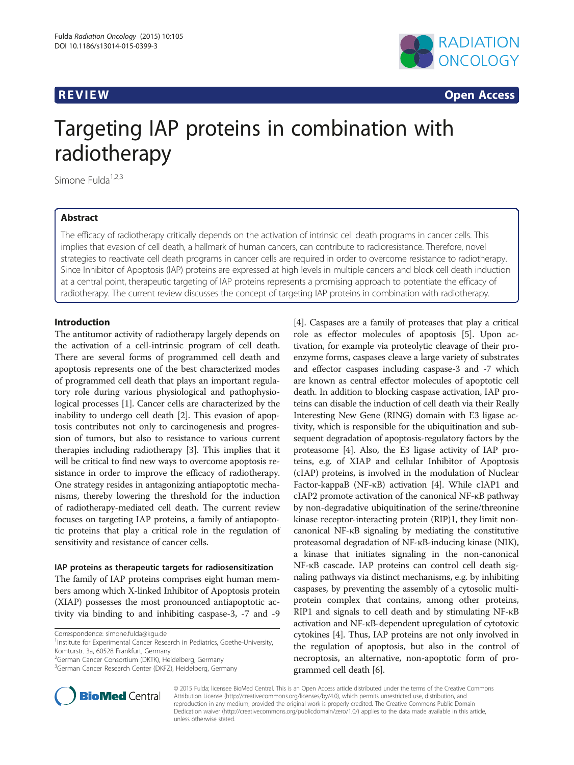

**REVIEW CONSTRUCTION CONSTRUCTION CONSTRUCTS** 

# Targeting IAP proteins in combination with radiotherapy

Simone Fulda<sup>1,2,3</sup>

### Abstract

The efficacy of radiotherapy critically depends on the activation of intrinsic cell death programs in cancer cells. This implies that evasion of cell death, a hallmark of human cancers, can contribute to radioresistance. Therefore, novel strategies to reactivate cell death programs in cancer cells are required in order to overcome resistance to radiotherapy. Since Inhibitor of Apoptosis (IAP) proteins are expressed at high levels in multiple cancers and block cell death induction at a central point, therapeutic targeting of IAP proteins represents a promising approach to potentiate the efficacy of radiotherapy. The current review discusses the concept of targeting IAP proteins in combination with radiotherapy.

#### Introduction

The antitumor activity of radiotherapy largely depends on the activation of a cell-intrinsic program of cell death. There are several forms of programmed cell death and apoptosis represents one of the best characterized modes of programmed cell death that plays an important regulatory role during various physiological and pathophysiological processes [\[1](#page-2-0)]. Cancer cells are characterized by the inability to undergo cell death [\[2](#page-2-0)]. This evasion of apoptosis contributes not only to carcinogenesis and progression of tumors, but also to resistance to various current therapies including radiotherapy [\[3](#page-2-0)]. This implies that it will be critical to find new ways to overcome apoptosis resistance in order to improve the efficacy of radiotherapy. One strategy resides in antagonizing antiapoptotic mechanisms, thereby lowering the threshold for the induction of radiotherapy-mediated cell death. The current review focuses on targeting IAP proteins, a family of antiapoptotic proteins that play a critical role in the regulation of sensitivity and resistance of cancer cells.

#### IAP proteins as therapeutic targets for radiosensitization

The family of IAP proteins comprises eight human members among which X-linked Inhibitor of Apoptosis protein (XIAP) possesses the most pronounced antiapoptotic activity via binding to and inhibiting caspase-3, -7 and -9

<sup>2</sup>German Cancer Consortium (DKTK), Heidelberg, Germany





© 2015 Fulda; licensee BioMed Central. This is an Open Access article distributed under the terms of the Creative Commons Attribution License (<http://creativecommons.org/licenses/by/4.0>), which permits unrestricted use, distribution, and reproduction in any medium, provided the original work is properly credited. The Creative Commons Public Domain Dedication waiver [\(http://creativecommons.org/publicdomain/zero/1.0/](http://creativecommons.org/publicdomain/zero/1.0/)) applies to the data made available in this article, unless otherwise stated.

Correspondence: [simone.fulda@kgu.de](mailto:simone.fulda@kgu.de) <sup>1</sup>

<sup>&</sup>lt;sup>1</sup>Institute for Experimental Cancer Research in Pediatrics, Goethe-University, Komturstr. 3a, 60528 Frankfurt, Germany

<sup>&</sup>lt;sup>3</sup>German Cancer Research Center (DKFZ), Heidelberg, Germany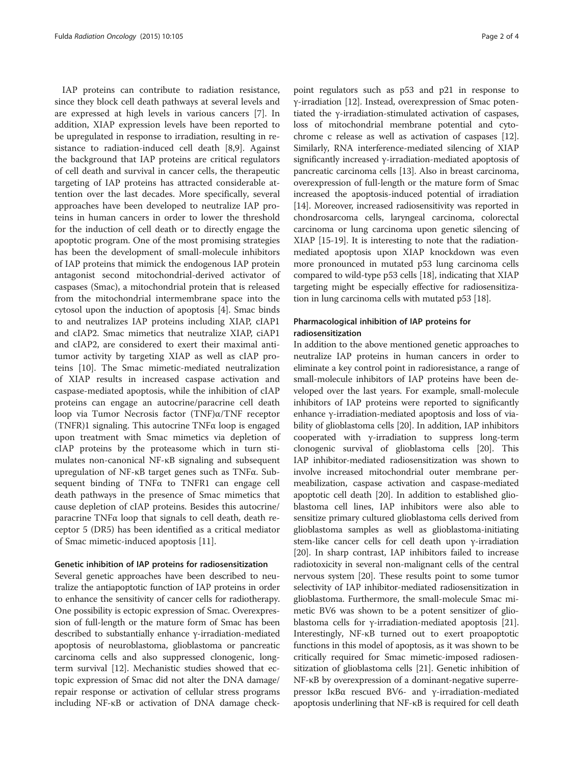IAP proteins can contribute to radiation resistance, since they block cell death pathways at several levels and are expressed at high levels in various cancers [[7\]](#page-2-0). In addition, XIAP expression levels have been reported to be upregulated in response to irradiation, resulting in resistance to radiation-induced cell death [[8,9\]](#page-2-0). Against the background that IAP proteins are critical regulators of cell death and survival in cancer cells, the therapeutic targeting of IAP proteins has attracted considerable attention over the last decades. More specifically, several approaches have been developed to neutralize IAP proteins in human cancers in order to lower the threshold for the induction of cell death or to directly engage the apoptotic program. One of the most promising strategies has been the development of small-molecule inhibitors of IAP proteins that mimick the endogenous IAP protein antagonist second mitochondrial-derived activator of caspases (Smac), a mitochondrial protein that is released from the mitochondrial intermembrane space into the cytosol upon the induction of apoptosis [\[4](#page-2-0)]. Smac binds to and neutralizes IAP proteins including XIAP, cIAP1 and cIAP2. Smac mimetics that neutralize XIAP, ciAP1 and cIAP2, are considered to exert their maximal antitumor activity by targeting XIAP as well as cIAP proteins [[10](#page-3-0)]. The Smac mimetic-mediated neutralization of XIAP results in increased caspase activation and caspase-mediated apoptosis, while the inhibition of cIAP proteins can engage an autocrine/paracrine cell death loop via Tumor Necrosis factor (TNF)α/TNF receptor (TNFR)1 signaling. This autocrine TNFα loop is engaged upon treatment with Smac mimetics via depletion of cIAP proteins by the proteasome which in turn stimulates non-canonical NF-κB signaling and subsequent upregulation of NF-κB target genes such as TNFα. Subsequent binding of TNFα to TNFR1 can engage cell death pathways in the presence of Smac mimetics that cause depletion of cIAP proteins. Besides this autocrine/ paracrine TNFα loop that signals to cell death, death receptor 5 (DR5) has been identified as a critical mediator of Smac mimetic-induced apoptosis [\[11](#page-3-0)].

#### Genetic inhibition of IAP proteins for radiosensitization

Several genetic approaches have been described to neutralize the antiapoptotic function of IAP proteins in order to enhance the sensitivity of cancer cells for radiotherapy. One possibility is ectopic expression of Smac. Overexpression of full-length or the mature form of Smac has been described to substantially enhance γ-irradiation-mediated apoptosis of neuroblastoma, glioblastoma or pancreatic carcinoma cells and also suppressed clonogenic, longterm survival [[12](#page-3-0)]. Mechanistic studies showed that ectopic expression of Smac did not alter the DNA damage/ repair response or activation of cellular stress programs including NF-κB or activation of DNA damage check-

point regulators such as p53 and p21 in response to γ-irradiation [[12\]](#page-3-0). Instead, overexpression of Smac potentiated the γ-irradiation-stimulated activation of caspases, loss of mitochondrial membrane potential and cytochrome c release as well as activation of caspases [[12](#page-3-0)]. Similarly, RNA interference-mediated silencing of XIAP significantly increased γ-irradiation-mediated apoptosis of pancreatic carcinoma cells [\[13\]](#page-3-0). Also in breast carcinoma, overexpression of full-length or the mature form of Smac increased the apoptosis-induced potential of irradiation [[14](#page-3-0)]. Moreover, increased radiosensitivity was reported in chondrosarcoma cells, laryngeal carcinoma, colorectal carcinoma or lung carcinoma upon genetic silencing of XIAP [[15](#page-3-0)-[19](#page-3-0)]. It is interesting to note that the radiationmediated apoptosis upon XIAP knockdown was even more pronounced in mutated p53 lung carcinoma cells compared to wild-type p53 cells [\[18\]](#page-3-0), indicating that XIAP targeting might be especially effective for radiosensitization in lung carcinoma cells with mutated p53 [[18](#page-3-0)].

#### Pharmacological inhibition of IAP proteins for radiosensitization

In addition to the above mentioned genetic approaches to neutralize IAP proteins in human cancers in order to eliminate a key control point in radioresistance, a range of small-molecule inhibitors of IAP proteins have been developed over the last years. For example, small-molecule inhibitors of IAP proteins were reported to significantly enhance γ-irradiation-mediated apoptosis and loss of viability of glioblastoma cells [[20](#page-3-0)]. In addition, IAP inhibitors cooperated with γ-irradiation to suppress long-term clonogenic survival of glioblastoma cells [[20\]](#page-3-0). This IAP inhibitor-mediated radiosensitization was shown to involve increased mitochondrial outer membrane permeabilization, caspase activation and caspase-mediated apoptotic cell death [[20](#page-3-0)]. In addition to established glioblastoma cell lines, IAP inhibitors were also able to sensitize primary cultured glioblastoma cells derived from glioblastoma samples as well as glioblastoma-initiating stem-like cancer cells for cell death upon γ-irradiation [[20](#page-3-0)]. In sharp contrast, IAP inhibitors failed to increase radiotoxicity in several non-malignant cells of the central nervous system [[20](#page-3-0)]. These results point to some tumor selectivity of IAP inhibitor-mediated radiosensitization in glioblastoma. Furthermore, the small-molecule Smac mimetic BV6 was shown to be a potent sensitizer of glioblastoma cells for γ-irradiation-mediated apoptosis [[21](#page-3-0)]. Interestingly, NF-κB turned out to exert proapoptotic functions in this model of apoptosis, as it was shown to be critically required for Smac mimetic-imposed radiosensitization of glioblastoma cells [[21](#page-3-0)]. Genetic inhibition of NF-κB by overexpression of a dominant-negative superrepressor IκBα rescued BV6- and γ-irradiation-mediated apoptosis underlining that NF-κB is required for cell death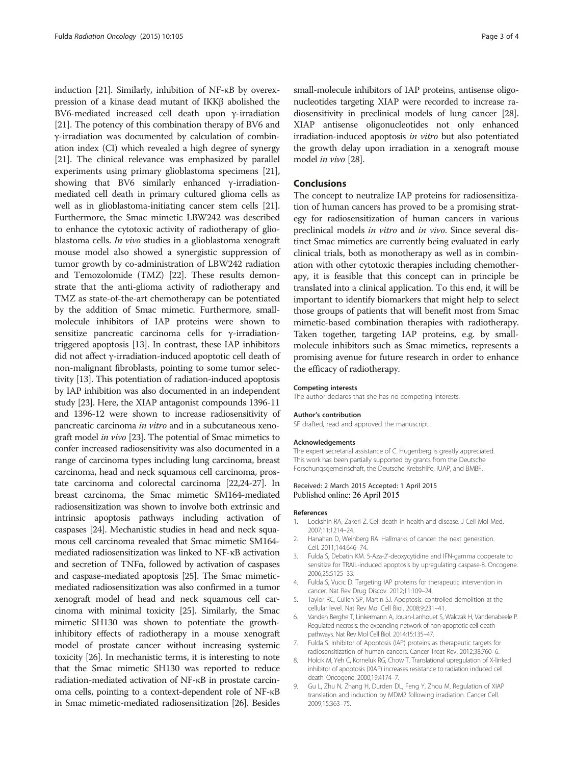<span id="page-2-0"></span>induction [\[21\]](#page-3-0). Similarly, inhibition of NF-κB by overexpression of a kinase dead mutant of IKKβ abolished the BV6-mediated increased cell death upon γ-irradiation [[21](#page-3-0)]. The potency of this combination therapy of BV6 and γ-irradiation was documented by calculation of combination index (CI) which revealed a high degree of synergy [[21](#page-3-0)]. The clinical relevance was emphasized by parallel experiments using primary glioblastoma specimens [[21](#page-3-0)], showing that BV6 similarly enhanced γ-irradiationmediated cell death in primary cultured glioma cells as well as in glioblastoma-initiating cancer stem cells [[21](#page-3-0)]. Furthermore, the Smac mimetic LBW242 was described to enhance the cytotoxic activity of radiotherapy of glioblastoma cells. In vivo studies in a glioblastoma xenograft mouse model also showed a synergistic suppression of tumor growth by co-administration of LBW242 radiation and Temozolomide (TMZ) [[22](#page-3-0)]. These results demonstrate that the anti-glioma activity of radiotherapy and TMZ as state-of-the-art chemotherapy can be potentiated by the addition of Smac mimetic. Furthermore, smallmolecule inhibitors of IAP proteins were shown to sensitize pancreatic carcinoma cells for γ-irradiationtriggered apoptosis [\[13\]](#page-3-0). In contrast, these IAP inhibitors did not affect γ-irradiation-induced apoptotic cell death of non-malignant fibroblasts, pointing to some tumor selectivity [\[13\]](#page-3-0). This potentiation of radiation-induced apoptosis by IAP inhibition was also documented in an independent study [[23](#page-3-0)]. Here, the XIAP antagonist compounds 1396-11 and 1396-12 were shown to increase radiosensitivity of pancreatic carcinoma in vitro and in a subcutaneous xenograft model in vivo [[23](#page-3-0)]. The potential of Smac mimetics to confer increased radiosensitivity was also documented in a range of carcinoma types including lung carcinoma, breast carcinoma, head and neck squamous cell carcinoma, prostate carcinoma and colorectal carcinoma [\[22,24-27](#page-3-0)]. In breast carcinoma, the Smac mimetic SM164-mediated radiosensitization was shown to involve both extrinsic and intrinsic apoptosis pathways including activation of caspases [\[24\]](#page-3-0). Mechanistic studies in head and neck squamous cell carcinoma revealed that Smac mimetic SM164 mediated radiosensitization was linked to NF-κB activation and secretion of TNFα, followed by activation of caspases and caspase-mediated apoptosis [[25](#page-3-0)]. The Smac mimeticmediated radiosensitization was also confirmed in a tumor xenograft model of head and neck squamous cell carcinoma with minimal toxicity [\[25\]](#page-3-0). Similarly, the Smac mimetic SH130 was shown to potentiate the growthinhibitory effects of radiotherapy in a mouse xenograft model of prostate cancer without increasing systemic toxicity [[26](#page-3-0)]. In mechanistic terms, it is interesting to note that the Smac mimetic SH130 was reported to reduce radiation-mediated activation of NF-κB in prostate carcinoma cells, pointing to a context-dependent role of NF-κB in Smac mimetic-mediated radiosensitization [\[26](#page-3-0)]. Besides

small-molecule inhibitors of IAP proteins, antisense oligonucleotides targeting XIAP were recorded to increase radiosensitivity in preclinical models of lung cancer [[28](#page-3-0)]. XIAP antisense oligonucleotides not only enhanced irradiation-induced apoptosis in vitro but also potentiated the growth delay upon irradiation in a xenograft mouse model in vivo [[28](#page-3-0)].

#### Conclusions

The concept to neutralize IAP proteins for radiosensitization of human cancers has proved to be a promising strategy for radiosensitization of human cancers in various preclinical models in vitro and in vivo. Since several distinct Smac mimetics are currently being evaluated in early clinical trials, both as monotherapy as well as in combination with other cytotoxic therapies including chemotherapy, it is feasible that this concept can in principle be translated into a clinical application. To this end, it will be important to identify biomarkers that might help to select those groups of patients that will benefit most from Smac mimetic-based combination therapies with radiotherapy. Taken together, targeting IAP proteins, e.g. by smallmolecule inhibitors such as Smac mimetics, represents a promising avenue for future research in order to enhance the efficacy of radiotherapy.

#### Competing interests

The author declares that she has no competing interests.

#### Author's contribution

SF drafted, read and approved the manuscript.

#### Acknowledgements

The expert secretarial assistance of C. Hugenberg is greatly appreciated. This work has been partially supported by grants from the Deutsche Forschungsgemeinschaft, the Deutsche Krebshilfe, IUAP, and BMBF.

#### Received: 2 March 2015 Accepted: 1 April 2015 Published online: 26 April 2015

#### References

- 1. Lockshin RA, Zakeri Z. Cell death in health and disease. J Cell Mol Med. 2007;11:1214–24.
- 2. Hanahan D, Weinberg RA. Hallmarks of cancer: the next generation. Cell. 2011;144:646–74.
- 3. Fulda S, Debatin KM. 5-Aza-2'-deoxycytidine and IFN-gamma cooperate to sensitize for TRAIL-induced apoptosis by upregulating caspase-8. Oncogene. 2006;25:5125–33.
- 4. Fulda S, Vucic D. Targeting IAP proteins for therapeutic intervention in cancer. Nat Rev Drug Discov. 2012;11:109–24.
- 5. Taylor RC, Cullen SP, Martin SJ. Apoptosis: controlled demolition at the cellular level. Nat Rev Mol Cell Biol. 2008;9:231–41.
- 6. Vanden Berghe T, Linkermann A, Jouan-Lanhouet S, Walczak H, Vandenabeele P. Regulated necrosis: the expanding network of non-apoptotic cell death pathways. Nat Rev Mol Cell Biol. 2014;15:135–47.
- 7. Fulda S. Inhibitor of Apoptosis (IAP) proteins as therapeutic targets for radiosensitization of human cancers. Cancer Treat Rev. 2012;38:760–6.
- 8. Holcik M, Yeh C, Korneluk RG, Chow T. Translational upregulation of X-linked inhibitor of apoptosis (XIAP) increases resistance to radiation induced cell death. Oncogene. 2000;19:4174–7.
- 9. Gu L, Zhu N, Zhang H, Durden DL, Feng Y, Zhou M. Regulation of XIAP translation and induction by MDM2 following irradiation. Cancer Cell. 2009;15:363–75.